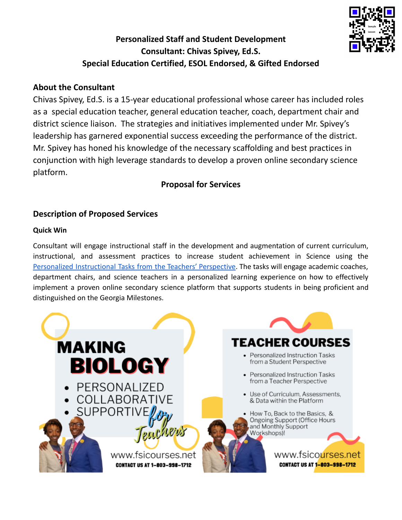## **Personalized Staff and Student Development Consultant: Chivas Spivey, Ed.S. Special Education Certified, ESOL Endorsed, & Gifted Endorsed**

#### **About the Consultant**

Chivas Spivey, Ed.S. is a 15-year educational professional whose career has included roles as a special education teacher, general education teacher, coach, department chair and district science liaison. The strategies and initiatives implemented under Mr. Spivey's leadership has garnered exponential success exceeding the performance of the district. Mr. Spivey has honed his knowledge of the necessary scaffolding and best practices in conjunction with high leverage standards to develop a proven online secondary science platform.

### **Proposal for Services**

### **Description of Proposed Services**

#### **Quick Win**

Consultant will engage instructional staff in the development and augmentation of current curriculum, instructional, and assessment practices to increase student achievement in Science using the Personalized [Instructional](#page-3-0) Tasks from the Teachers' Perspective. The tasks will engage academic coaches, department chairs, and science teachers in a personalized learning experience on how to effectively implement a proven online secondary science platform that supports students in being proficient and distinguished on the Georgia Milestones.



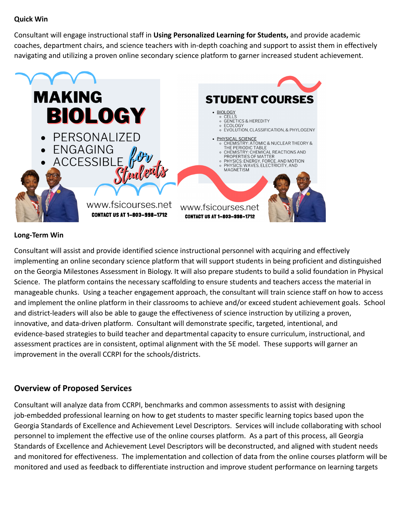#### **Quick Win**

Consultant will engage instructional staff in **Using Personalized Learning for Students,** and provide academic coaches, department chairs, and science teachers with in-depth coaching and support to assist them in effectively navigating and utilizing a proven online secondary science platform to garner increased student achievement.



#### **Long-Term Win**

Consultant will assist and provide identified science instructional personnel with acquiring and effectively implementing an online secondary science platform that will support students in being proficient and distinguished on the Georgia Milestones Assessment in Biology. It will also prepare students to build a solid foundation in Physical Science. The platform contains the necessary scaffolding to ensure students and teachers access the material in manageable chunks. Using a teacher engagement approach, the consultant will train science staff on how to access and implement the online platform in their classrooms to achieve and/or exceed student achievement goals. School and district-leaders will also be able to gauge the effectiveness of science instruction by utilizing a proven, innovative, and data-driven platform. Consultant will demonstrate specific, targeted, intentional, and evidence-based strategies to build teacher and departmental capacity to ensure curriculum, instructional, and assessment practices are in consistent, optimal alignment with the 5E model. These supports will garner an improvement in the overall CCRPI for the schools/districts.

#### **Overview of Proposed Services**

Consultant will analyze data from CCRPI, benchmarks and common assessments to assist with designing job-embedded professional learning on how to get students to master specific learning topics based upon the Georgia Standards of Excellence and Achievement Level Descriptors. Services will include collaborating with school personnel to implement the effective use of the online courses platform. As a part of this process, all Georgia Standards of Excellence and Achievement Level Descriptors will be deconstructed, and aligned with student needs and monitored for effectiveness. The implementation and collection of data from the online courses platform will be monitored and used as feedback to differentiate instruction and improve student performance on learning targets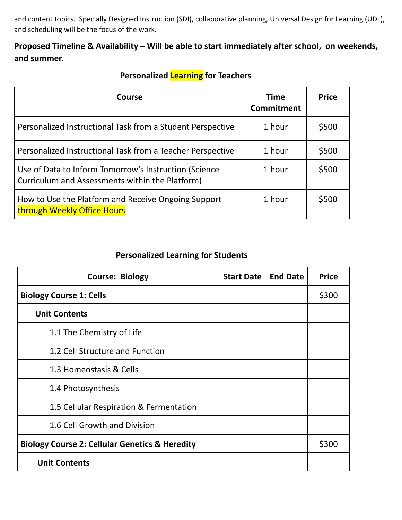and content topics. Specially Designed Instruction (SDI), collaborative planning, Universal Design for Learning (UDL), and scheduling will be the focus of the work.

### **Proposed Timeline & Availability – Will be able to start immediately after school, on weekends, and summer.**

<span id="page-3-0"></span>

| Course                                                                                                   | <b>Time</b><br><b>Commitment</b> | <b>Price</b> |
|----------------------------------------------------------------------------------------------------------|----------------------------------|--------------|
| Personalized Instructional Task from a Student Perspective                                               | 1 hour                           | \$500        |
| Personalized Instructional Task from a Teacher Perspective                                               | 1 hour                           | \$500        |
| Use of Data to Inform Tomorrow's Instruction (Science<br>Curriculum and Assessments within the Platform) | 1 hour                           | \$500        |
| How to Use the Platform and Receive Ongoing Support<br>through Weekly Office Hours                       | 1 hour                           | \$500        |

# **Personalized Learning for Teachers**

### **Personalized Learning for Students**

| <b>Course: Biology</b>                                    | <b>Start Date</b> | <b>End Date</b> | <b>Price</b> |
|-----------------------------------------------------------|-------------------|-----------------|--------------|
| <b>Biology Course 1: Cells</b>                            |                   |                 | \$300        |
| <b>Unit Contents</b>                                      |                   |                 |              |
| 1.1 The Chemistry of Life                                 |                   |                 |              |
| 1.2 Cell Structure and Function                           |                   |                 |              |
| 1.3 Homeostasis & Cells                                   |                   |                 |              |
| 1.4 Photosynthesis                                        |                   |                 |              |
| 1.5 Cellular Respiration & Fermentation                   |                   |                 |              |
| 1.6 Cell Growth and Division                              |                   |                 |              |
| <b>Biology Course 2: Cellular Genetics &amp; Heredity</b> |                   |                 | \$300        |
| <b>Unit Contents</b>                                      |                   |                 |              |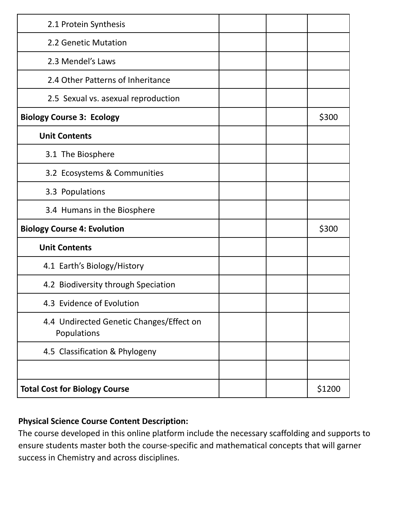| 2.1 Protein Synthesis                                   |  |        |
|---------------------------------------------------------|--|--------|
| 2.2 Genetic Mutation                                    |  |        |
| 2.3 Mendel's Laws                                       |  |        |
| 2.4 Other Patterns of Inheritance                       |  |        |
| 2.5 Sexual vs. asexual reproduction                     |  |        |
| <b>Biology Course 3: Ecology</b>                        |  | \$300  |
| <b>Unit Contents</b>                                    |  |        |
| 3.1 The Biosphere                                       |  |        |
| 3.2 Ecosystems & Communities                            |  |        |
| 3.3 Populations                                         |  |        |
| 3.4 Humans in the Biosphere                             |  |        |
| <b>Biology Course 4: Evolution</b>                      |  | \$300  |
| <b>Unit Contents</b>                                    |  |        |
| 4.1 Earth's Biology/History                             |  |        |
| 4.2 Biodiversity through Speciation                     |  |        |
| 4.3 Evidence of Evolution                               |  |        |
| 4.4 Undirected Genetic Changes/Effect on<br>Populations |  |        |
| 4.5 Classification & Phylogeny                          |  |        |
|                                                         |  |        |
| <b>Total Cost for Biology Course</b>                    |  | \$1200 |

### **Physical Science Course Content Description:**

The course developed in this online platform include the necessary scaffolding and supports to ensure students master both the course-specific and mathematical concepts that will garner success in Chemistry and across disciplines.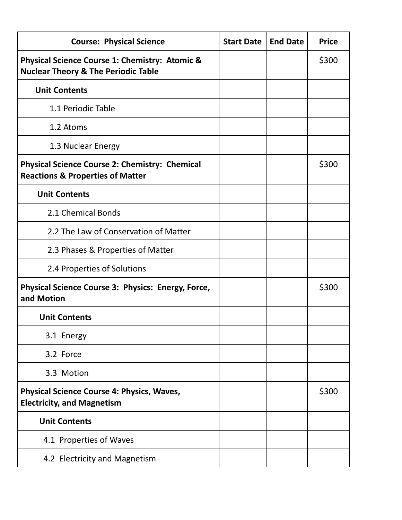| <b>Course: Physical Science</b>                                                                      | <b>Start Date</b> | <b>End Date</b> | <b>Price</b> |
|------------------------------------------------------------------------------------------------------|-------------------|-----------------|--------------|
| Physical Science Course 1: Chemistry: Atomic &<br><b>Nuclear Theory &amp; The Periodic Table</b>     |                   |                 | \$300        |
| <b>Unit Contents</b>                                                                                 |                   |                 |              |
| 1.1 Periodic Table                                                                                   |                   |                 |              |
| 1.2 Atoms                                                                                            |                   |                 |              |
| 1.3 Nuclear Energy                                                                                   |                   |                 |              |
| <b>Physical Science Course 2: Chemistry: Chemical</b><br><b>Reactions &amp; Properties of Matter</b> |                   |                 | \$300        |
| <b>Unit Contents</b>                                                                                 |                   |                 |              |
| 2.1 Chemical Bonds                                                                                   |                   |                 |              |
| 2.2 The Law of Conservation of Matter                                                                |                   |                 |              |
| 2.3 Phases & Properties of Matter                                                                    |                   |                 |              |
| 2.4 Properties of Solutions                                                                          |                   |                 |              |
| Physical Science Course 3: Physics: Energy, Force,<br>and Motion                                     |                   |                 | \$300        |
| <b>Unit Contents</b>                                                                                 |                   |                 |              |
| 3.1 Energy                                                                                           |                   |                 |              |
| 3.2 Force                                                                                            |                   |                 |              |
| 3.3 Motion                                                                                           |                   |                 |              |
| <b>Physical Science Course 4: Physics, Waves,</b><br><b>Electricity, and Magnetism</b>               |                   |                 | \$300        |
| <b>Unit Contents</b>                                                                                 |                   |                 |              |
| 4.1 Properties of Waves                                                                              |                   |                 |              |
| 4.2 Electricity and Magnetism                                                                        |                   |                 |              |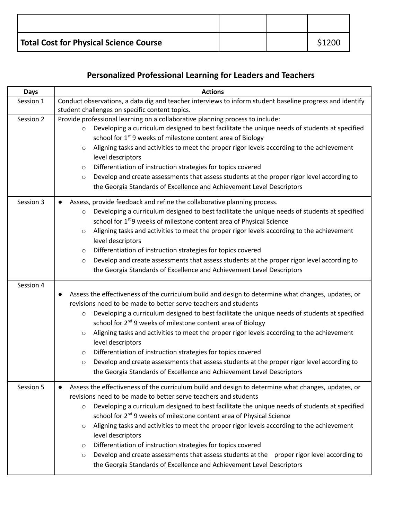| Total Cost for Physical Science Course |  | \$1200 |
|----------------------------------------|--|--------|

# **Personalized Professional Learning for Leaders and Teachers**

| <b>Days</b> | <b>Actions</b>                                                                                                                                                                                                                                                                                                                                                                                                                                                                                                                                                                                                                                                                                                                                                   |
|-------------|------------------------------------------------------------------------------------------------------------------------------------------------------------------------------------------------------------------------------------------------------------------------------------------------------------------------------------------------------------------------------------------------------------------------------------------------------------------------------------------------------------------------------------------------------------------------------------------------------------------------------------------------------------------------------------------------------------------------------------------------------------------|
| Session 1   | Conduct observations, a data dig and teacher interviews to inform student baseline progress and identify<br>student challenges on specific content topics.                                                                                                                                                                                                                                                                                                                                                                                                                                                                                                                                                                                                       |
| Session 2   | Provide professional learning on a collaborative planning process to include:<br>Developing a curriculum designed to best facilitate the unique needs of students at specified<br>$\circ$<br>school for 1 <sup>st</sup> 9 weeks of milestone content area of Biology<br>Aligning tasks and activities to meet the proper rigor levels according to the achievement<br>$\circ$<br>level descriptors<br>Differentiation of instruction strategies for topics covered<br>$\circ$<br>Develop and create assessments that assess students at the proper rigor level according to<br>$\circ$<br>the Georgia Standards of Excellence and Achievement Level Descriptors                                                                                                  |
| Session 3   | Assess, provide feedback and refine the collaborative planning process.<br>$\bullet$<br>Developing a curriculum designed to best facilitate the unique needs of students at specified<br>$\circ$<br>school for 1 <sup>st</sup> 9 weeks of milestone content area of Physical Science<br>Aligning tasks and activities to meet the proper rigor levels according to the achievement<br>$\circ$<br>level descriptors<br>Differentiation of instruction strategies for topics covered<br>$\circ$<br>Develop and create assessments that assess students at the proper rigor level according to<br>$\circ$<br>the Georgia Standards of Excellence and Achievement Level Descriptors                                                                                  |
| Session 4   | Assess the effectiveness of the curriculum build and design to determine what changes, updates, or<br>revisions need to be made to better serve teachers and students<br>Developing a curriculum designed to best facilitate the unique needs of students at specified<br>$\circ$<br>school for 2 <sup>nd</sup> 9 weeks of milestone content area of Biology<br>Aligning tasks and activities to meet the proper rigor levels according to the achievement<br>$\circ$<br>level descriptors<br>Differentiation of instruction strategies for topics covered<br>$\circ$<br>Develop and create assessments that assess students at the proper rigor level according to<br>$\circ$<br>the Georgia Standards of Excellence and Achievement Level Descriptors          |
| Session 5   | Assess the effectiveness of the curriculum build and design to determine what changes, updates, or<br>revisions need to be made to better serve teachers and students<br>Developing a curriculum designed to best facilitate the unique needs of students at specified<br>$\circ$<br>school for 2 <sup>nd</sup> 9 weeks of milestone content area of Physical Science<br>Aligning tasks and activities to meet the proper rigor levels according to the achievement<br>$\circ$<br>level descriptors<br>Differentiation of instruction strategies for topics covered<br>$\circ$<br>Develop and create assessments that assess students at the proper rigor level according to<br>$\circ$<br>the Georgia Standards of Excellence and Achievement Level Descriptors |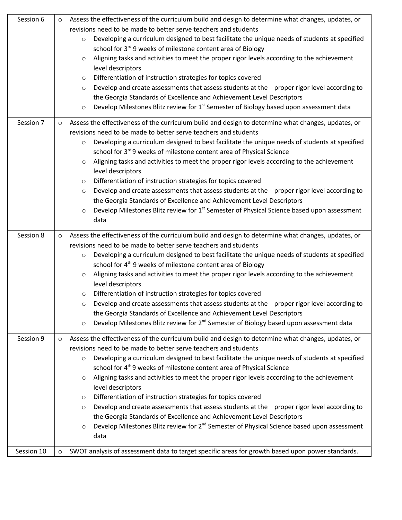| Session 6  | Assess the effectiveness of the curriculum build and design to determine what changes, updates, or<br>$\circ$<br>revisions need to be made to better serve teachers and students<br>Developing a curriculum designed to best facilitate the unique needs of students at specified<br>$\circ$<br>school for 3 <sup>rd</sup> 9 weeks of milestone content area of Biology<br>Aligning tasks and activities to meet the proper rigor levels according to the achievement<br>$\circ$<br>level descriptors<br>Differentiation of instruction strategies for topics covered<br>$\circ$<br>Develop and create assessments that assess students at the proper rigor level according to<br>$\circ$<br>the Georgia Standards of Excellence and Achievement Level Descriptors<br>Develop Milestones Blitz review for 1 <sup>st</sup> Semester of Biology based upon assessment data<br>$\circ$                      |
|------------|----------------------------------------------------------------------------------------------------------------------------------------------------------------------------------------------------------------------------------------------------------------------------------------------------------------------------------------------------------------------------------------------------------------------------------------------------------------------------------------------------------------------------------------------------------------------------------------------------------------------------------------------------------------------------------------------------------------------------------------------------------------------------------------------------------------------------------------------------------------------------------------------------------|
| Session 7  | Assess the effectiveness of the curriculum build and design to determine what changes, updates, or<br>$\circ$<br>revisions need to be made to better serve teachers and students<br>Developing a curriculum designed to best facilitate the unique needs of students at specified<br>$\circ$<br>school for 3rd 9 weeks of milestone content area of Physical Science<br>Aligning tasks and activities to meet the proper rigor levels according to the achievement<br>$\circ$<br>level descriptors<br>Differentiation of instruction strategies for topics covered<br>$\circ$<br>Develop and create assessments that assess students at the proper rigor level according to<br>$\circ$<br>the Georgia Standards of Excellence and Achievement Level Descriptors<br>Develop Milestones Blitz review for 1 <sup>st</sup> Semester of Physical Science based upon assessment<br>$\circ$<br>data             |
| Session 8  | Assess the effectiveness of the curriculum build and design to determine what changes, updates, or<br>$\circ$<br>revisions need to be made to better serve teachers and students<br>Developing a curriculum designed to best facilitate the unique needs of students at specified<br>$\circ$<br>school for 4 <sup>th</sup> 9 weeks of milestone content area of Biology<br>Aligning tasks and activities to meet the proper rigor levels according to the achievement<br>$\circ$<br>level descriptors<br>Differentiation of instruction strategies for topics covered<br>$\circ$<br>Develop and create assessments that assess students at the proper rigor level according to<br>$\circ$<br>the Georgia Standards of Excellence and Achievement Level Descriptors<br>Develop Milestones Blitz review for 2 <sup>nd</sup> Semester of Biology based upon assessment data<br>$\circ$                      |
| Session 9  | Assess the effectiveness of the curriculum build and design to determine what changes, updates, or<br>$\circ$<br>revisions need to be made to better serve teachers and students<br>Developing a curriculum designed to best facilitate the unique needs of students at specified<br>$\circ$<br>school for 4 <sup>th</sup> 9 weeks of milestone content area of Physical Science<br>Aligning tasks and activities to meet the proper rigor levels according to the achievement<br>$\circ$<br>level descriptors<br>Differentiation of instruction strategies for topics covered<br>$\circ$<br>Develop and create assessments that assess students at the proper rigor level according to<br>$\circ$<br>the Georgia Standards of Excellence and Achievement Level Descriptors<br>Develop Milestones Blitz review for 2 <sup>nd</sup> Semester of Physical Science based upon assessment<br>$\circ$<br>data |
| Session 10 | SWOT analysis of assessment data to target specific areas for growth based upon power standards.<br>$\circ$                                                                                                                                                                                                                                                                                                                                                                                                                                                                                                                                                                                                                                                                                                                                                                                              |